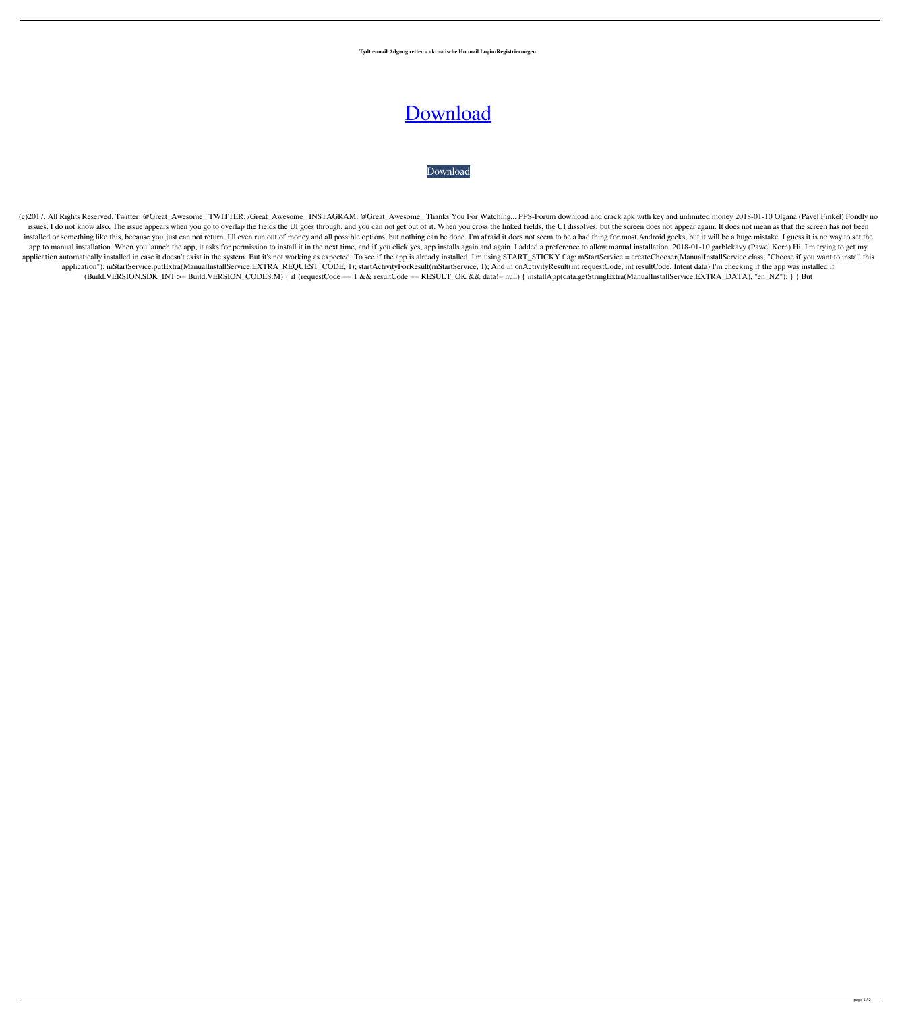**Tydt e-mail Adgang retten - ukroatische Hotmail Login-Registrierungen.**

## [Download](http://evacdir.com/.ZG93bmxvYWR8VkE5TVd4NWQzeDhNVFkxTXpBNE5ERTFOSHg4TWpVM05IeDhLRTBwSUhKbFlXUXRZbXh2WnlCYlJtRnpkQ0JIUlU1ZA.mabry?dialers=staleness&TXNweSBDcmFja2VkIEFwayBGdWxsIDMzNgTXN=jealously)

## [Download](http://evacdir.com/.ZG93bmxvYWR8VkE5TVd4NWQzeDhNVFkxTXpBNE5ERTFOSHg4TWpVM05IeDhLRTBwSUhKbFlXUXRZbXh2WnlCYlJtRnpkQ0JIUlU1ZA.mabry?dialers=staleness&TXNweSBDcmFja2VkIEFwayBGdWxsIDMzNgTXN=jealously)

(c)2017. All Rights Reserved. Twitter: @Great\_Awesome\_TWITTER: /Great\_Awesome\_INSTAGRAM: @Great\_Awesome\_Thanks You For Watching... PPS-Forum download and crack apk with key and unlimited money 2018-01-10 Olgana (Pavel Fink issues. I do not know also. The issue appears when you go to overlap the fields the UI goes through, and you can not get out of it. When you cross the linked fields, the UI dissolves, but the screen does not appear again. installed or something like this, because you just can not return. I'll even run out of money and all possible options, but nothing can be done. I'm afraid it does not seem to be a bad thing for most Android geeks, but it app to manual installation. When you launch the app, it asks for permission to install it in the next time, and if you click yes, app installs again and again. I added a preference to allow manual installation. 2018-01-10 application automatically installed in case it doesn't exist in the system. But it's not working as expected: To see if the app is already installed, I'm using START\_STICKY flag: mStartService = createChooser(ManualInstall application"); mStartService.putExtra(ManualInstallService.EXTRA\_REQUEST\_CODE, 1); startActivityForResult(mStartService, 1); And in onActivityResult(int requestCode, int resultCode, Intent data) I'm checking if the app was (Build.VERSION.SDK\_INT >= Build.VERSION\_CODES.M) { if (requestCode == 1 && resultCode == RESULT\_OK && data!= null) { installApp(data.getStringExtra(ManualInstallService.EXTRA\_DATA), "en\_NZ"); } } But